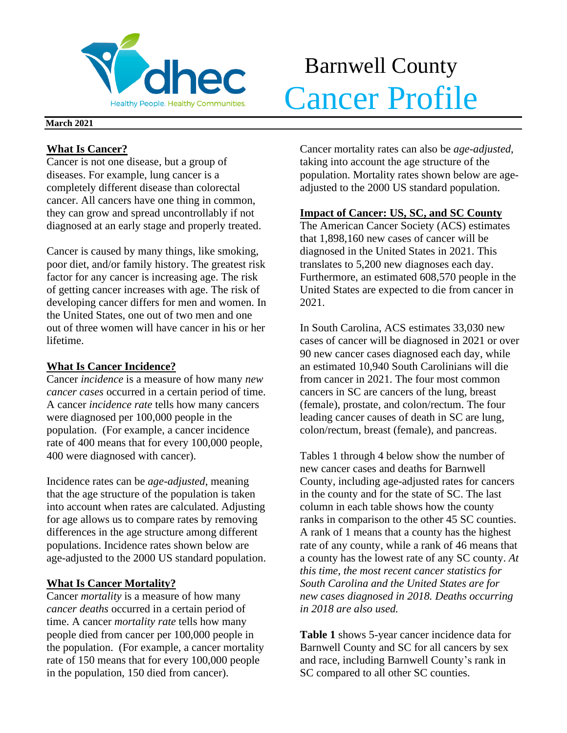

# Barnwell County **Cancer Profile**

## **March 2021**

## **What Is Cancer?**

Cancer is not one disease, but a group of diseases. For example, lung cancer is a completely different disease than colorectal cancer. All cancers have one thing in common, they can grow and spread uncontrollably if not diagnosed at an early stage and properly treated.

Cancer is caused by many things, like smoking, poor diet, and/or family history. The greatest risk factor for any cancer is increasing age. The risk of getting cancer increases with age. The risk of developing cancer differs for men and women. In the United States, one out of two men and one out of three women will have cancer in his or her lifetime.

## **What Is Cancer Incidence?**

Cancer *incidence* is a measure of how many *new cancer cases* occurred in a certain period of time. A cancer *incidence rate* tells how many cancers were diagnosed per 100,000 people in the population. (For example, a cancer incidence rate of 400 means that for every 100,000 people, 400 were diagnosed with cancer).

Incidence rates can be *age-adjusted*, meaning that the age structure of the population is taken into account when rates are calculated. Adjusting for age allows us to compare rates by removing differences in the age structure among different populations. Incidence rates shown below are age-adjusted to the 2000 US standard population.

# **What Is Cancer Mortality?**

Cancer *mortality* is a measure of how many *cancer deaths* occurred in a certain period of time. A cancer *mortality rate* tells how many people died from cancer per 100,000 people in the population. (For example, a cancer mortality rate of 150 means that for every 100,000 people in the population, 150 died from cancer).

Cancer mortality rates can also be *age-adjusted*, taking into account the age structure of the population. Mortality rates shown below are ageadjusted to the 2000 US standard population.

## **Impact of Cancer: US, SC, and SC County**

The American Cancer Society (ACS) estimates that 1,898,160 new cases of cancer will be diagnosed in the United States in 2021. This translates to 5,200 new diagnoses each day. Furthermore, an estimated 608,570 people in the United States are expected to die from cancer in 2021.

In South Carolina, ACS estimates 33,030 new cases of cancer will be diagnosed in 2021 or over 90 new cancer cases diagnosed each day, while an estimated 10,940 South Carolinians will die from cancer in 2021. The four most common cancers in SC are cancers of the lung, breast (female), prostate, and colon/rectum. The four leading cancer causes of death in SC are lung, colon/rectum, breast (female), and pancreas.

Tables 1 through 4 below show the number of new cancer cases and deaths for Barnwell County, including age-adjusted rates for cancers in the county and for the state of SC. The last column in each table shows how the county ranks in comparison to the other 45 SC counties. A rank of 1 means that a county has the highest rate of any county, while a rank of 46 means that a county has the lowest rate of any SC county. *At this time, the most recent cancer statistics for South Carolina and the United States are for new cases diagnosed in 2018. Deaths occurring in 2018 are also used.*

**Table 1** shows 5-year cancer incidence data for Barnwell County and SC for all cancers by sex and race, including Barnwell County's rank in SC compared to all other SC counties.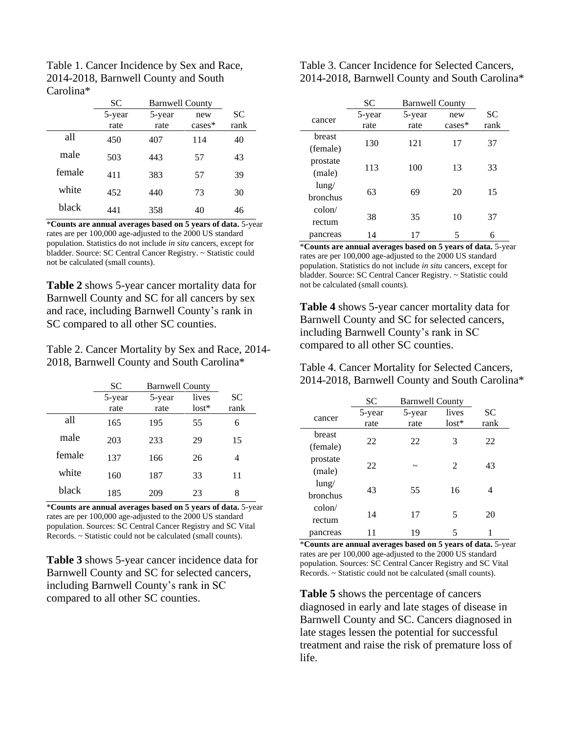| Table 1. Cancer Incidence by Sex and Race, |
|--------------------------------------------|
| 2014-2018, Barnwell County and South       |
| Carolina <sup>*</sup>                      |

|        | <b>SC</b> | <b>Barnwell County</b> |          |           |
|--------|-----------|------------------------|----------|-----------|
|        | 5-year    | 5-year                 | new      | <b>SC</b> |
|        | rate      | rate                   | $cases*$ | rank      |
| all    | 450       | 407                    | 114      | 40        |
| male   | 503       | 443                    | 57       | 43        |
| female | 411       | 383                    | 57       | 39        |
| white  | 452       | 440                    | 73       | 30        |
| black  | 441       | 358                    | 40       | 46        |

\***Counts are annual averages based on 5 years of data.** 5-year rates are per 100,000 age-adjusted to the 2000 US standard population. Statistics do not include *in situ* cancers, except for bladder. Source: SC Central Cancer Registry. ~ Statistic could not be calculated (small counts).

**Table 2** shows 5-year cancer mortality data for Barnwell County and SC for all cancers by sex and race, including Barnwell County's rank in SC compared to all other SC counties.

Table 2. Cancer Mortality by Sex and Race, 2014- 2018, Barnwell County and South Carolina\*

|        | <b>SC</b> | <b>Barnwell County</b> |         |      |
|--------|-----------|------------------------|---------|------|
|        | 5-year    | 5-year                 | lives   | SC   |
|        | rate      | rate                   | $lost*$ | rank |
| all    | 165       | 195                    | 55      | 6    |
| male   | 203       | 233                    | 29      | 15   |
| female | 137       | 166                    | 26      | 4    |
| white  | 160       | 187                    | 33      | 11   |
| black  | 185       | 209                    | 23      | 8    |

\***Counts are annual averages based on 5 years of data.** 5-year rates are per 100,000 age-adjusted to the 2000 US standard population. Sources: SC Central Cancer Registry and SC Vital Records. ~ Statistic could not be calculated (small counts).

**Table 3** shows 5-year cancer incidence data for Barnwell County and SC for selected cancers, including Barnwell County's rank in SC compared to all other SC counties.

Table 3. Cancer Incidence for Selected Cancers, 2014-2018, Barnwell County and South Carolina\*

|                 | SС     | <b>Barnwell County</b> |          |           |
|-----------------|--------|------------------------|----------|-----------|
| cancer          | 5-year | 5-year                 | new      | <b>SC</b> |
|                 | rate   | rate                   | $cases*$ | rank      |
| <b>breast</b>   |        |                        |          |           |
| (female)        | 130    | 121                    | 17       | 37        |
| prostate        |        |                        |          |           |
| (male)          | 113    | 100                    | 13       | 33        |
| lung/           |        |                        |          |           |
| <b>bronchus</b> | 63     | 69                     | 20       | 15        |
| $\text{colon}/$ |        |                        |          |           |
| rectum          | 38     | 35                     | 10       | 37        |
| pancreas        | 14     | 17                     | 5        | 6         |

\***Counts are annual averages based on 5 years of data.** 5-year rates are per 100,000 age-adjusted to the 2000 US standard population. Statistics do not include *in situ* cancers, except for bladder. Source: SC Central Cancer Registry. ~ Statistic could not be calculated (small counts).

**Table 4** shows 5-year cancer mortality data for Barnwell County and SC for selected cancers, including Barnwell County's rank in SC compared to all other SC counties.

Table 4. Cancer Mortality for Selected Cancers, 2014-2018, Barnwell County and South Carolina\*

|                 | <b>SC</b> | <b>Barnwell County</b> |                             |           |
|-----------------|-----------|------------------------|-----------------------------|-----------|
| cancer          | 5-year    | 5-year                 | lives                       | <b>SC</b> |
|                 | rate      | rate                   | $lost*$                     | rank      |
| breast          | 22        | 22                     | 3                           | 22        |
| (female)        |           |                        |                             |           |
| prostate        | 22        | $\tilde{\phantom{a}}$  | $\mathcal{D}_{\mathcal{L}}$ | 43        |
| (male)          |           |                        |                             |           |
| lung/           | 43        | 55                     | 16                          | 4         |
| bronchus        |           |                        |                             |           |
| $\text{colon}/$ | 14        | 17                     | 5                           | 20        |
| rectum          |           |                        |                             |           |
| pancreas        |           | 19                     | 5                           |           |

\***Counts are annual averages based on 5 years of data.** 5-year rates are per 100,000 age-adjusted to the 2000 US standard population. Sources: SC Central Cancer Registry and SC Vital Records. ~ Statistic could not be calculated (small counts).

**Table 5** shows the percentage of cancers diagnosed in early and late stages of disease in Barnwell County and SC. Cancers diagnosed in late stages lessen the potential for successful treatment and raise the risk of premature loss of life.